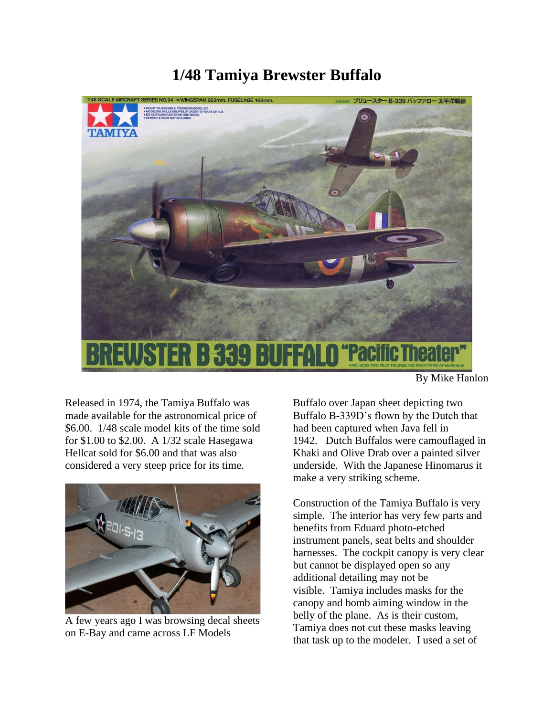## **1/48 Tamiya Brewster Buffalo**



Released in 1974, the Tamiya Buffalo was made available for the astronomical price of \$6.00. 1/48 scale model kits of the time sold for \$1.00 to \$2.00. A 1/32 scale Hasegawa Hellcat sold for \$6.00 and that was also considered a very steep price for its time.



A few years ago I was browsing decal sheets on E-Bay and came across LF Models

By Mike Hanlon

Buffalo over Japan sheet depicting two Buffalo B-339D's flown by the Dutch that had been captured when Java fell in 1942. Dutch Buffalos were camouflaged in Khaki and Olive Drab over a painted silver underside. With the Japanese Hinomarus it make a very striking scheme.

Construction of the Tamiya Buffalo is very simple. The interior has very few parts and benefits from Eduard photo-etched instrument panels, seat belts and shoulder harnesses. The cockpit canopy is very clear but cannot be displayed open so any additional detailing may not be visible. Tamiya includes masks for the canopy and bomb aiming window in the belly of the plane. As is their custom, Tamiya does not cut these masks leaving that task up to the modeler. I used a set of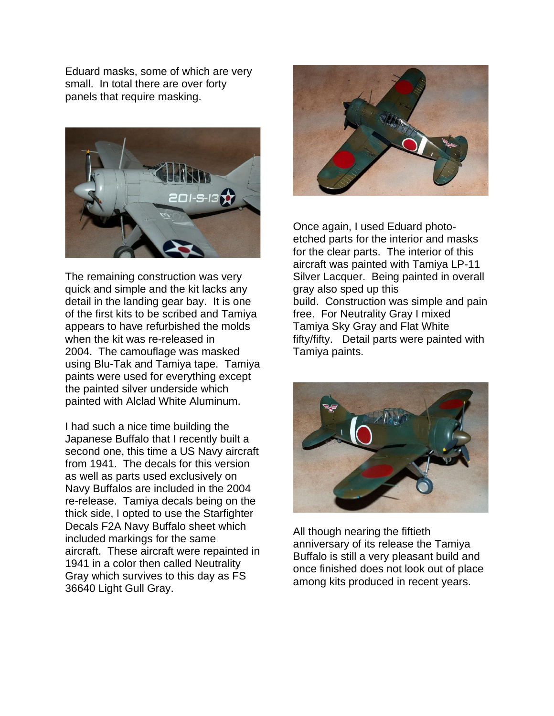Eduard masks, some of which are very small. In total there are over forty panels that require masking.



The remaining construction was very quick and simple and the kit lacks any detail in the landing gear bay. It is one of the first kits to be scribed and Tamiya appears to have refurbished the molds when the kit was re-released in 2004. The camouflage was masked using Blu-Tak and Tamiya tape. Tamiya paints were used for everything except the painted silver underside which painted with Alclad White Aluminum.

I had such a nice time building the Japanese Buffalo that I recently built a second one, this time a US Navy aircraft from 1941. The decals for this version as well as parts used exclusively on Navy Buffalos are included in the 2004 re-release. Tamiya decals being on the thick side, I opted to use the Starfighter Decals F2A Navy Buffalo sheet which included markings for the same aircraft. These aircraft were repainted in 1941 in a color then called Neutrality Gray which survives to this day as FS 36640 Light Gull Gray.



Once again, I used Eduard photoetched parts for the interior and masks for the clear parts. The interior of this aircraft was painted with Tamiya LP-11 Silver Lacquer. Being painted in overall gray also sped up this build. Construction was simple and pain free. For Neutrality Gray I mixed Tamiya Sky Gray and Flat White fifty/fifty. Detail parts were painted with Tamiya paints.



All though nearing the fiftieth anniversary of its release the Tamiya Buffalo is still a very pleasant build and once finished does not look out of place among kits produced in recent years.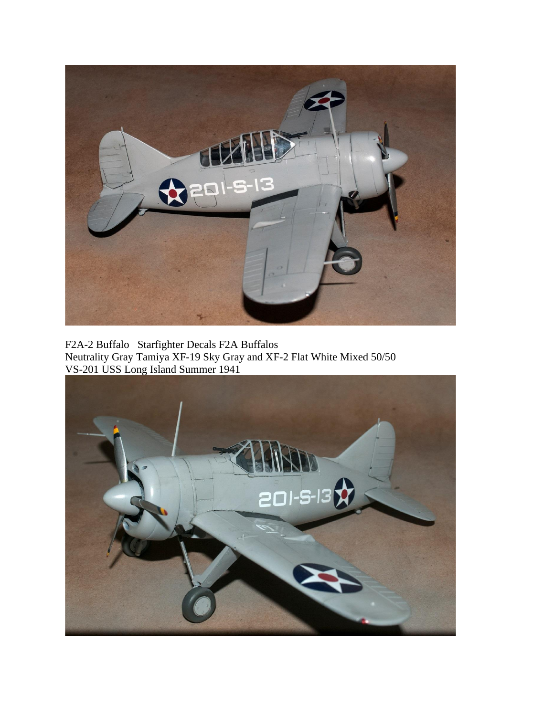

F2A-2 Buffalo Starfighter Decals F2A Buffalos Neutrality Gray Tamiya XF-19 Sky Gray and XF-2 Flat White Mixed 50/50 VS-201 USS Long Island Summer 1941